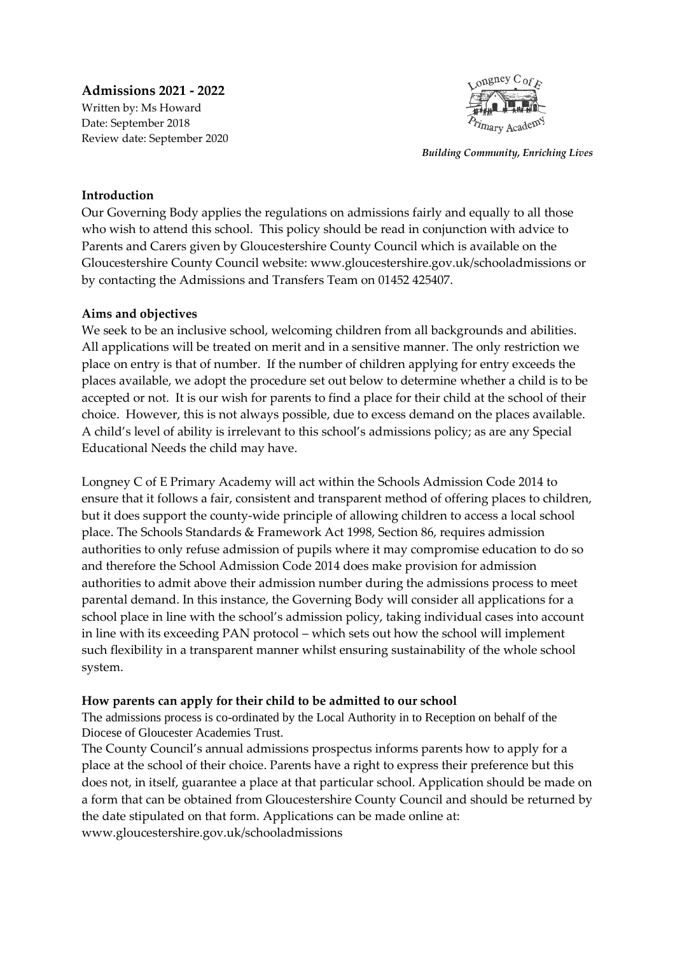**Admissions 2021 - 2022** Written by: Ms Howard Date: September 2018 Review date: September 2020



*Building Community, Enriching Lives*

#### **Introduction**

Our Governing Body applies the regulations on admissions fairly and equally to all those who wish to attend this school. This policy should be read in conjunction with advice to Parents and Carers given by Gloucestershire County Council which is available on the Gloucestershire County Council website: www.gloucestershire.gov.uk/schooladmissions or by contacting the Admissions and Transfers Team on 01452 425407.

#### **Aims and objectives**

We seek to be an inclusive school, welcoming children from all backgrounds and abilities. All applications will be treated on merit and in a sensitive manner. The only restriction we place on entry is that of number. If the number of children applying for entry exceeds the places available, we adopt the procedure set out below to determine whether a child is to be accepted or not. It is our wish for parents to find a place for their child at the school of their choice. However, this is not always possible, due to excess demand on the places available. A child's level of ability is irrelevant to this school's admissions policy; as are any Special Educational Needs the child may have.

Longney C of E Primary Academy will act within the Schools Admission Code 2014 to ensure that it follows a fair, consistent and transparent method of offering places to children, but it does support the county-wide principle of allowing children to access a local school place. The Schools Standards & Framework Act 1998, Section 86, requires admission authorities to only refuse admission of pupils where it may compromise education to do so and therefore the School Admission Code 2014 does make provision for admission authorities to admit above their admission number during the admissions process to meet parental demand. In this instance, the Governing Body will consider all applications for a school place in line with the school's admission policy, taking individual cases into account in line with its exceeding PAN protocol – which sets out how the school will implement such flexibility in a transparent manner whilst ensuring sustainability of the whole school system.

## **How parents can apply for their child to be admitted to our school**

The admissions process is co-ordinated by the Local Authority in to Reception on behalf of the Diocese of Gloucester Academies Trust.

The County Council's annual admissions prospectus informs parents how to apply for a place at the school of their choice. Parents have a right to express their preference but this does not, in itself, guarantee a place at that particular school. Application should be made on a form that can be obtained from Gloucestershire County Council and should be returned by the date stipulated on that form. Applications can be made online at: www.gloucestershire.gov.uk/schooladmissions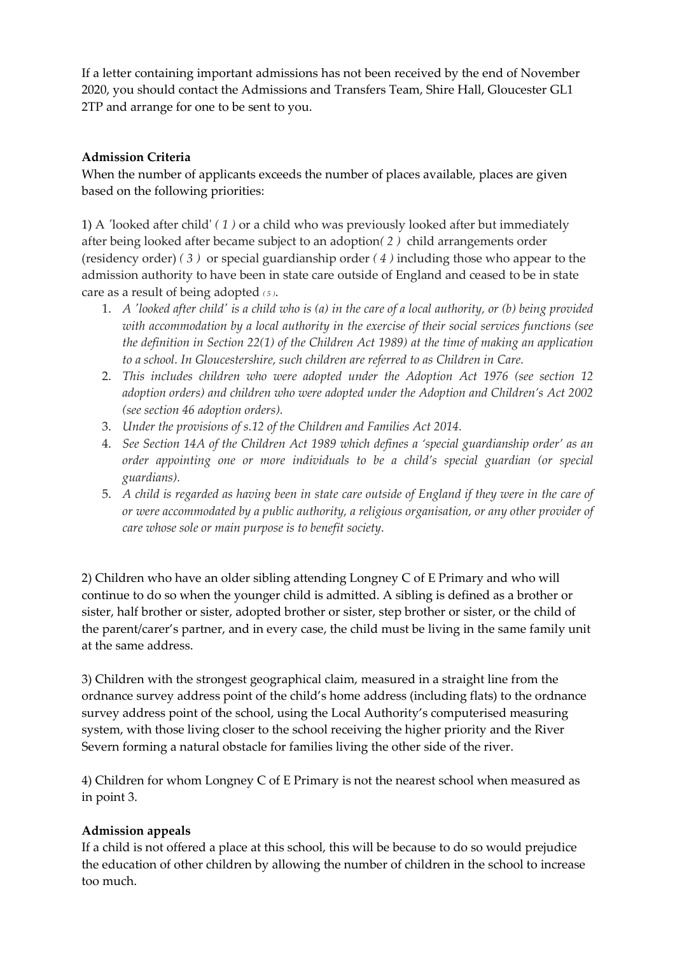If a letter containing important admissions has not been received by the end of November 2020, you should contact the Admissions and Transfers Team, Shire Hall, Gloucester GL1 2TP and arrange for one to be sent to you.

## **Admission Criteria**

When the number of applicants exceeds the number of places available, places are given based on the following priorities:

1) A *'*looked after child' *( 1 )* or a child who was previously looked after but immediately after being looked after became subject to an adoption*( 2 )* child arrangements order (residency order) *( 3 )* or special guardianship order *( 4 )* including those who appear to the admission authority to have been in state care outside of England and ceased to be in state care as a result of being adopted *( <sup>5</sup> )*.

- 1. A 'looked after child' is a child who is (a) in the care of a local authority, or (b) being provided *with accommodation by a local authority in the exercise of their social services functions (see the definition in Section 22(1) of the Children Act 1989) at the time of making an application to a school. In Gloucestershire, such children are referred to as Children in Care.*
- 2. *This includes children who were adopted under the Adoption Act 1976 (see section 12 adoption orders) and children who were adopted under the Adoption and Children's Act 2002 (see section 46 adoption orders).*
- 3. *Under the provisions of s.12 of the Children and Families Act 2014.*
- 4. *See Section 14A of the Children Act 1989 which defines a 'special guardianship order' as an order appointing one or more individuals to be a child's special guardian (or special guardians).*
- 5. A child is regarded as having been in state care outside of England if they were in the care of *or were accommodated by a public authority, a religious organisation, or any other provider of care whose sole or main purpose is to benefit society.*

2) Children who have an older sibling attending Longney C of E Primary and who will continue to do so when the younger child is admitted. A sibling is defined as a brother or sister, half brother or sister, adopted brother or sister, step brother or sister, or the child of the parent/carer's partner, and in every case, the child must be living in the same family unit at the same address.

3) Children with the strongest geographical claim, measured in a straight line from the ordnance survey address point of the child's home address (including flats) to the ordnance survey address point of the school, using the Local Authority's computerised measuring system, with those living closer to the school receiving the higher priority and the River Severn forming a natural obstacle for families living the other side of the river.

4) Children for whom Longney C of E Primary is not the nearest school when measured as in point 3.

## **Admission appeals**

If a child is not offered a place at this school, this will be because to do so would prejudice the education of other children by allowing the number of children in the school to increase too much.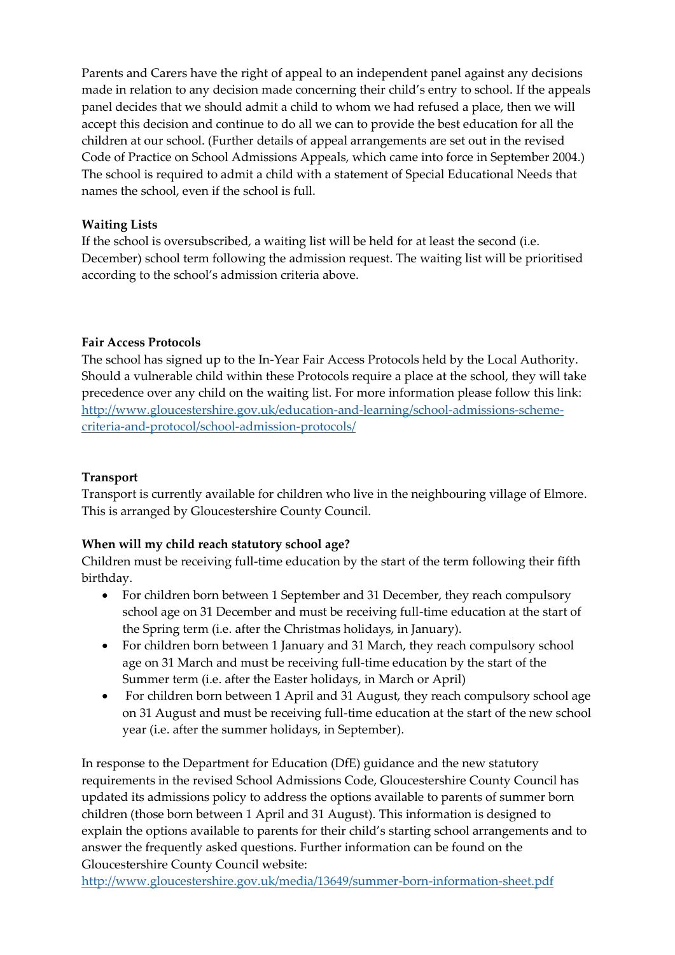Parents and Carers have the right of appeal to an independent panel against any decisions made in relation to any decision made concerning their child's entry to school. If the appeals panel decides that we should admit a child to whom we had refused a place, then we will accept this decision and continue to do all we can to provide the best education for all the children at our school. (Further details of appeal arrangements are set out in the revised Code of Practice on School Admissions Appeals, which came into force in September 2004.) The school is required to admit a child with a statement of Special Educational Needs that names the school, even if the school is full.

## **Waiting Lists**

If the school is oversubscribed, a waiting list will be held for at least the second (i.e. December) school term following the admission request. The waiting list will be prioritised according to the school's admission criteria above.

## **Fair Access Protocols**

The school has signed up to the In-Year Fair Access Protocols held by the Local Authority. Should a vulnerable child within these Protocols require a place at the school, they will take precedence over any child on the waiting list. For more information please follow this link: [http://www.gloucestershire.gov.uk/education-and-learning/school-admissions-scheme](http://www.gloucestershire.gov.uk/education-and-learning/school-admissions-scheme-criteria-and-protocol/school-admission-protocols/)[criteria-and-protocol/school-admission-protocols/](http://www.gloucestershire.gov.uk/education-and-learning/school-admissions-scheme-criteria-and-protocol/school-admission-protocols/)

## **Transport**

Transport is currently available for children who live in the neighbouring village of Elmore. This is arranged by Gloucestershire County Council.

# **When will my child reach statutory school age?**

Children must be receiving full-time education by the start of the term following their fifth birthday.

- For children born between 1 September and 31 December, they reach compulsory school age on 31 December and must be receiving full-time education at the start of the Spring term (i.e. after the Christmas holidays, in January).
- For children born between 1 January and 31 March, they reach compulsory school age on 31 March and must be receiving full-time education by the start of the Summer term (i.e. after the Easter holidays, in March or April)
- For children born between 1 April and 31 August, they reach compulsory school age on 31 August and must be receiving full-time education at the start of the new school year (i.e. after the summer holidays, in September).

In response to the Department for Education (DfE) guidance and the new statutory requirements in the revised School Admissions Code, Gloucestershire County Council has updated its admissions policy to address the options available to parents of summer born children (those born between 1 April and 31 August). This information is designed to explain the options available to parents for their child's starting school arrangements and to answer the frequently asked questions. Further information can be found on the Gloucestershire County Council website:

<http://www.gloucestershire.gov.uk/media/13649/summer-born-information-sheet.pdf>